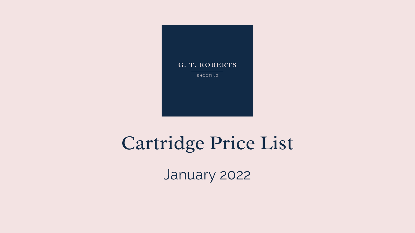

SHOOTING

# Cartridge Price List

January 2022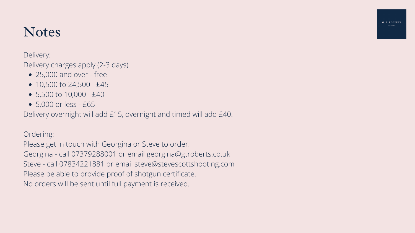# **Notes**

Delivery:

Delivery charges apply (2-3 days)

- 25,000 and over free
- $\bullet$  10,500 to 24,500 £45
- 5,500 to 10,000 £40
- 5,000 or less £65

Delivery overnight will add £15, overnight and timed will add £40.

Ordering:

Please get in touch with Georgina or Steve to order. Georgina - call 07379288001 or email georgina@gtroberts.co.uk Steve - call 07834221881 or email steve@stevescottshooting.com Please be able to provide proof of shotgun certificate. No orders will be sent until full payment is received.

G. T. ROBERTS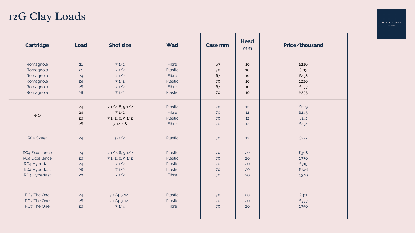| <b>Cartridge</b> | Load | <b>Shot size</b> | Wad     | <b>Case mm</b> | <b>Head</b><br>mm | Price/thousand |
|------------------|------|------------------|---------|----------------|-------------------|----------------|
| Romagnola        | 21   | 71/2             | Fibre   | 67             | 10                | £226           |
| Romagnola        | 21   | 71/2             | Plastic | 70             | 10                | £213           |
| Romagnola        | 24   | 71/2             | Fibre   | 67             | 10                | £238           |
| Romagnola        | 24   | 71/2             | Plastic | 70             | 10                | £220           |
| Romagnola        | 28   | 71/2             | Fibre   | 67             | 10                | £253           |
| Romagnola        | 28   | 71/2             | Plastic | 70             | 10                | £235           |
|                  | 24   | 71/2, 8, 91/2    | Plastic | 70             | 12                | £229           |
|                  | 24   | 71/2             | Fibre   | 70             | 12                | £245           |
| RC <sub>2</sub>  | 28   | 71/2, 8, 91/2    | Plastic | 70             | 12                | £241           |
|                  | 28   | 71/2,8           | Fibre   | 70             | 12                | £254           |
| <b>RC2 Skeet</b> | 24   | 91/2             | Plastic | 70             | 12                | £272           |
| RC4 Excellence   | 24   | 71/2, 8, 91/2    | Plastic | 70             | 20                | £308           |
| RC4 Excellence   | 28   | 71/2, 8, 91/2    | Plastic | 70             | 20                | £330           |
| RC4 Hyperfast    | 24   | 71/2             | Plastic | 70             | 20                | £315           |
| RC4 Hyperfast    | 28   | 71/2             | Plastic | 70             | 20                | £346           |
| RC4 Hyperfast    | 28   | 71/2             | Fibre   | 70             | 20                | £349           |
|                  |      |                  |         |                |                   |                |
| RC7 The One      | 24   | 71/4, 71/2       | Plastic | 70             | 20                | £311           |
| RC7 The One      | 28   | 71/4, 71/2       | Plastic | 70             | 20                | £333           |
| RC7 The One      | 28   | 71/4             | Fibre   | 70             | 20                | £350           |
|                  |      |                  |         |                |                   |                |

G. T. ROBERTS  $\frac{1}{\text{SHOOTING}}$ 

# 12G Clay Loads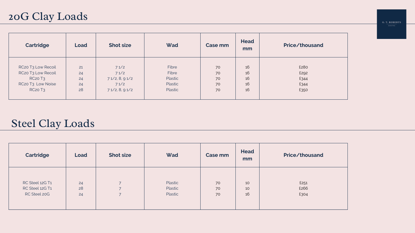| <b>Cartridge</b>                           | Load | <b>Shot size</b> | Wad            | Case mm | <b>Head</b><br>mm |
|--------------------------------------------|------|------------------|----------------|---------|-------------------|
|                                            |      |                  |                |         |                   |
| RC <sub>20</sub> T <sub>3</sub> Low Recoil | 21   | 71/2             | Fibre          | 70      | 16                |
| RC20 T3 Low Recoil                         | 24   | 71/2             | Fibre          | 70      | 16                |
| <b>RC20 T3</b>                             | 24   | 71/2, 8, 91/2    | Plastic        | 70      | 16                |
| RC20 T3 Low Noise                          | 24   | 71/2             | Plastic        | 70      | 16                |
| <b>RC20 T3</b>                             | 28   | 71/2, 8, 91/2    | <b>Plastic</b> | 70      | 16                |
|                                            |      |                  |                |         |                   |

# 20G Clay Loads

| <b>Cartridge</b> | <b>Load</b> | <b>Shot size</b>         | Wad     | <b>Case mm</b> | <b>Head</b><br>mm | <b>Price/thousand</b> |
|------------------|-------------|--------------------------|---------|----------------|-------------------|-----------------------|
| RC Steel 12G T1  | 24          | $\overline{\phantom{0}}$ | Plastic | 70             | 10                | £251                  |
| RC Steel 12G T1  | 28          | $\overline{\phantom{0}}$ | Plastic | 70             | 10                | £266                  |
| RC Steel 20G     | 24          | $\overline{\phantom{0}}$ | Plastic | 70             | 16                | £304                  |

| G. T. ROBERTS |  |
|---------------|--|
| SHOOTING      |  |

# Steel Clay Loads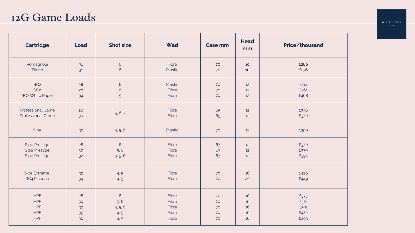| <b>Cartridge</b>                                     | <b>Load</b> | <b>Shot size</b> | Wad            | <b>Case mm</b> | <b>Head</b><br>mm | Price/tho    |
|------------------------------------------------------|-------------|------------------|----------------|----------------|-------------------|--------------|
| Romagnola                                            | 31          | $6\phantom{a}$   | Fibre          | 70             | 10                | £280         |
| Titano                                               | 31          | $6\overline{6}$  | <b>Plastic</b> | 70             | 10                | £276         |
| RC <sub>2</sub>                                      | 28          | $6\,$            | Plastic        | 70             | 12                | £241         |
| RC <sub>2</sub>                                      | 28          | $6\,$            | Fibre          | 70             | 12                | £261         |
| RC2 White Paper                                      | 34          | 5                | Fibre          | 70             | 12                | £468         |
| <b>Professional Game</b><br><b>Professional Game</b> | 28<br>30    | 5, 6, 7          | Fibre<br>Fibre | 65<br>65       | 12<br>12          | £346<br>£370 |
| Sipe                                                 | 32          | 4, 5, 6          | Plastic        | 70             | 12                | £390         |
| <b>Sipe Prestige</b>                                 | 28          | $\sqrt{6}$       | Fibre          | 67             | 12                | £370         |
| <b>Sipe Prestige</b>                                 | 30          | 5, 6             | Fibre          | 67             | 12                | £379         |
| <b>Sipe Prestige</b>                                 | 32          | 4, 5, 6          | Fibre          | 67             | 12                | £394         |
| Sipe Extreme                                         | 32          | 4, 5             | Fibre          | 70             | 16                | £426         |
| RC4 Piccone                                          | 34          | 4, 5             | Fibre          | 70             | 20                | £449         |
| HPF                                                  | 28          | $6\overline{6}$  | Fibre          | 70             | 16                | £373         |
| <b>HPF</b>                                           | 30          | 5, 6             | Fibre          | 70             | 16                | £381         |
| <b>HPF</b>                                           | 32          | 4, 5, 6          | Fibre          | 70             | 16                | £391         |
| <b>HPF</b>                                           | 35          | 4, 5             | Fibre          | 70             | 16                | £482         |
| HPF                                                  | 36          | 4, 5             | Fibre          | 70             | 16                | £493         |

| <b>Price/thousand</b> |  |
|-----------------------|--|
| £280                  |  |
| £276                  |  |
| £241                  |  |
| £261                  |  |
| £468                  |  |
| £346                  |  |
| £370                  |  |
| £390                  |  |
| £370                  |  |
| £379                  |  |
| £394                  |  |
|                       |  |
| £426                  |  |
| £449                  |  |
| £373                  |  |

£391 £482 £493

G. T. ROBERTS 

#### 12G Game Loads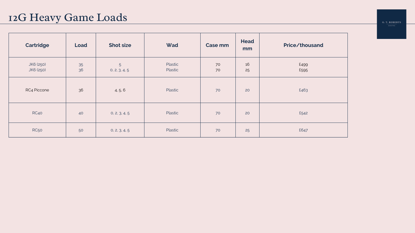| <b>Cartridge</b>       | Load     | <b>Shot size</b>   | Wad                | <b>Case mm</b> | <b>Head</b><br>mm | Price/thousand |
|------------------------|----------|--------------------|--------------------|----------------|-------------------|----------------|
| JK6 (250)<br>JK6 (250) | 35<br>36 | 5<br>0, 2, 3, 4, 5 | Plastic<br>Plastic | 70<br>70       | 16<br>25          | £499<br>£595   |
| RC4 Piccone            | 36       | 4, 5, 6            | Plastic            | 70             | 20                | £463           |
| RC40                   | 40       | 0, 2, 3, 4, 5      | Plastic            | 70             | 20                | £542           |
| <b>RC50</b>            | 50       | 0, 2, 3, 4, 5      | Plastic            | 70             | 25                | £647           |

G. T. ROBERTS  $rac{1}{\sqrt{2}}$ 

# 12G Heavy Game Loads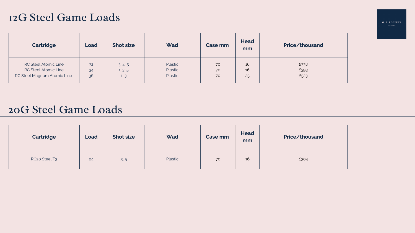| <b>Cartridge</b>            | Load | <b>Shot size</b> | Wad     | Case mm | <b>Head</b><br>mm | Price/thousand |
|-----------------------------|------|------------------|---------|---------|-------------------|----------------|
| <b>RC Steel Atomic Line</b> | 32   | 3, 4, 5          | Plastic | 70      | 16                | £338           |
| <b>RC Steel Atomic Line</b> | 34   | 1, 3, 5          | Plastic | 70      | 16                | £393           |
| RC Steel Magnum Atomic Line | 36   | 1, 3             | Plastic | 70      | 25                | £523           |

G. T. ROBERTS

#### 12G Steel Game Loads

| <b>Cartridge</b>                      | <b>Load</b> | <b>Shot size</b> | Wad     | <b>Case mm</b> | <b>Head</b><br>mm | <b>Price/thousand</b> |
|---------------------------------------|-------------|------------------|---------|----------------|-------------------|-----------------------|
| RC <sub>20</sub> Steel T <sub>3</sub> | 24          | 3.5              | Plastic | 70             | 16                | £304                  |

#### 20G Steel Game Loads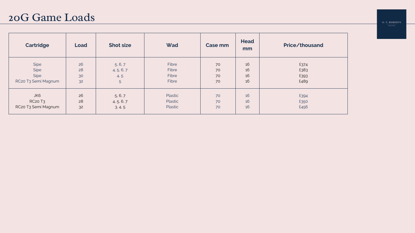| <b>Cartridge</b>    | Load | <b>Shot size</b> | Wad          | <b>Case mm</b> | <b>Head</b><br>mm | Price/thousand |
|---------------------|------|------------------|--------------|----------------|-------------------|----------------|
| Sipe                | 26   | 5, 6, 7          | <b>Fibre</b> | 70             | 16                | £374           |
| Sipe                | 28   | 4, 5, 6, 7       | Fibre        | 70             | 16                | £383           |
| Sipe                | 30   | 4, 5             | Fibre        | 70             | 16                | £393           |
| RC20 T3 Semi Magnum | 32   | 5 <sup>5</sup>   | Fibre        | 70             | 16                | £489           |
| JK6                 | 26   | 5, 6, 7          | Plastic      | 70             | 16                | £394           |
| <b>RC20 T3</b>      | 28   | 4, 5, 6, 7       | Plastic      | 70             | 16                | £350           |
| RC20 T3 Semi Magnum | 32   | 3, 4, 5          | Plastic      | 70             | 16                | £456           |

G. T. ROBERTS  $\frac{1}{\sqrt{1-\frac{1}{2}}\sqrt{1-\frac{1}{2}}\sqrt{1-\frac{1}{2}}\sqrt{1-\frac{1}{2}}\sqrt{1-\frac{1}{2}}\sqrt{1-\frac{1}{2}}\sqrt{1-\frac{1}{2}}\sqrt{1-\frac{1}{2}}\sqrt{1-\frac{1}{2}}\sqrt{1-\frac{1}{2}}\sqrt{1-\frac{1}{2}}\sqrt{1-\frac{1}{2}}\sqrt{1-\frac{1}{2}}\sqrt{1-\frac{1}{2}}\sqrt{1-\frac{1}{2}}\sqrt{1-\frac{1}{2}}\sqrt{1-\frac{1}{2}}\sqrt{1-\frac{1}{2}}\sqrt{1-\frac{1}{2}}\sqrt{1-\frac$ 

#### 20G Game Loads